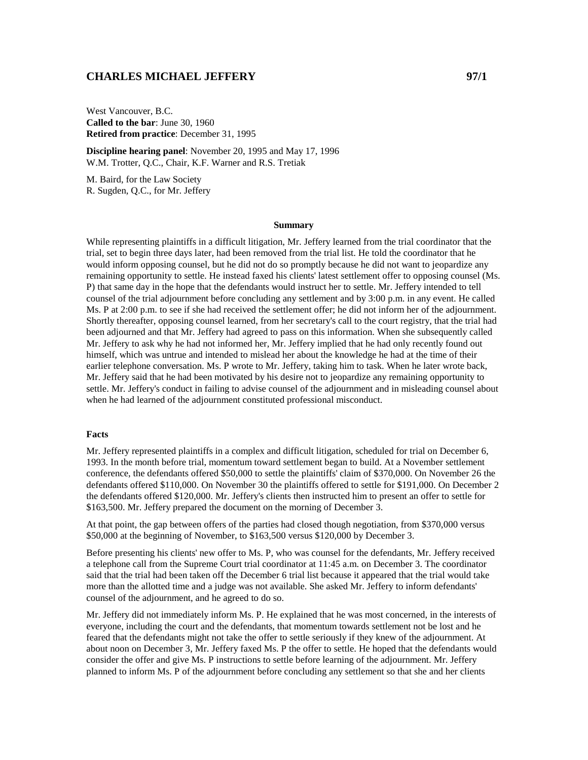# **CHARLES MICHAEL JEFFERY 97/1**

West Vancouver, B.C. **Called to the bar**: June 30, 1960 **Retired from practice**: December 31, 1995

**Discipline hearing panel**: November 20, 1995 and May 17, 1996 W.M. Trotter, Q.C., Chair, K.F. Warner and R.S. Tretiak

M. Baird, for the Law Society R. Sugden, Q.C., for Mr. Jeffery

#### **Summary**

While representing plaintiffs in a difficult litigation, Mr. Jeffery learned from the trial coordinator that the trial, set to begin three days later, had been removed from the trial list. He told the coordinator that he would inform opposing counsel, but he did not do so promptly because he did not want to jeopardize any remaining opportunity to settle. He instead faxed his clients' latest settlement offer to opposing counsel (Ms. P) that same day in the hope that the defendants would instruct her to settle. Mr. Jeffery intended to tell counsel of the trial adjournment before concluding any settlement and by 3:00 p.m. in any event. He called Ms. P at 2:00 p.m. to see if she had received the settlement offer; he did not inform her of the adjournment. Shortly thereafter, opposing counsel learned, from her secretary's call to the court registry, that the trial had been adjourned and that Mr. Jeffery had agreed to pass on this information. When she subsequently called Mr. Jeffery to ask why he had not informed her, Mr. Jeffery implied that he had only recently found out himself, which was untrue and intended to mislead her about the knowledge he had at the time of their earlier telephone conversation. Ms. P wrote to Mr. Jeffery, taking him to task. When he later wrote back, Mr. Jeffery said that he had been motivated by his desire not to jeopardize any remaining opportunity to settle. Mr. Jeffery's conduct in failing to advise counsel of the adjournment and in misleading counsel about when he had learned of the adjournment constituted professional misconduct.

### **Facts**

Mr. Jeffery represented plaintiffs in a complex and difficult litigation, scheduled for trial on December 6, 1993. In the month before trial, momentum toward settlement began to build. At a November settlement conference, the defendants offered \$50,000 to settle the plaintiffs' claim of \$370,000. On November 26 the defendants offered \$110,000. On November 30 the plaintiffs offered to settle for \$191,000. On December 2 the defendants offered \$120,000. Mr. Jeffery's clients then instructed him to present an offer to settle for \$163,500. Mr. Jeffery prepared the document on the morning of December 3.

At that point, the gap between offers of the parties had closed though negotiation, from \$370,000 versus \$50,000 at the beginning of November, to \$163,500 versus \$120,000 by December 3.

Before presenting his clients' new offer to Ms. P, who was counsel for the defendants, Mr. Jeffery received a telephone call from the Supreme Court trial coordinator at 11:45 a.m. on December 3. The coordinator said that the trial had been taken off the December 6 trial list because it appeared that the trial would take more than the allotted time and a judge was not available. She asked Mr. Jeffery to inform defendants' counsel of the adjournment, and he agreed to do so.

Mr. Jeffery did not immediately inform Ms. P. He explained that he was most concerned, in the interests of everyone, including the court and the defendants, that momentum towards settlement not be lost and he feared that the defendants might not take the offer to settle seriously if they knew of the adjournment. At about noon on December 3, Mr. Jeffery faxed Ms. P the offer to settle. He hoped that the defendants would consider the offer and give Ms. P instructions to settle before learning of the adjournment. Mr. Jeffery planned to inform Ms. P of the adjournment before concluding any settlement so that she and her clients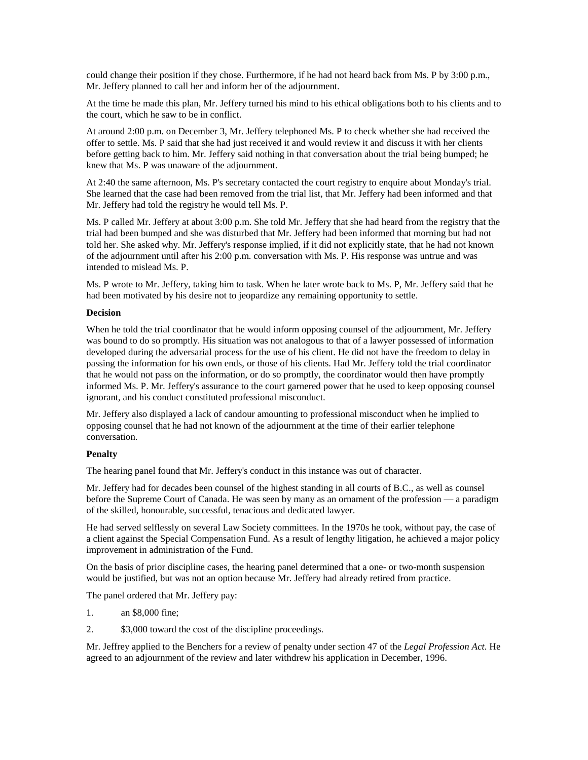could change their position if they chose. Furthermore, if he had not heard back from Ms. P by 3:00 p.m., Mr. Jeffery planned to call her and inform her of the adjournment.

At the time he made this plan, Mr. Jeffery turned his mind to his ethical obligations both to his clients and to the court, which he saw to be in conflict.

At around 2:00 p.m. on December 3, Mr. Jeffery telephoned Ms. P to check whether she had received the offer to settle. Ms. P said that she had just received it and would review it and discuss it with her clients before getting back to him. Mr. Jeffery said nothing in that conversation about the trial being bumped; he knew that Ms. P was unaware of the adjournment.

At 2:40 the same afternoon, Ms. P's secretary contacted the court registry to enquire about Monday's trial. She learned that the case had been removed from the trial list, that Mr. Jeffery had been informed and that Mr. Jeffery had told the registry he would tell Ms. P.

Ms. P called Mr. Jeffery at about 3:00 p.m. She told Mr. Jeffery that she had heard from the registry that the trial had been bumped and she was disturbed that Mr. Jeffery had been informed that morning but had not told her. She asked why. Mr. Jeffery's response implied, if it did not explicitly state, that he had not known of the adjournment until after his 2:00 p.m. conversation with Ms. P. His response was untrue and was intended to mislead Ms. P.

Ms. P wrote to Mr. Jeffery, taking him to task. When he later wrote back to Ms. P, Mr. Jeffery said that he had been motivated by his desire not to jeopardize any remaining opportunity to settle.

### **Decision**

When he told the trial coordinator that he would inform opposing counsel of the adjournment, Mr. Jeffery was bound to do so promptly. His situation was not analogous to that of a lawyer possessed of information developed during the adversarial process for the use of his client. He did not have the freedom to delay in passing the information for his own ends, or those of his clients. Had Mr. Jeffery told the trial coordinator that he would not pass on the information, or do so promptly, the coordinator would then have promptly informed Ms. P. Mr. Jeffery's assurance to the court garnered power that he used to keep opposing counsel ignorant, and his conduct constituted professional misconduct.

Mr. Jeffery also displayed a lack of candour amounting to professional misconduct when he implied to opposing counsel that he had not known of the adjournment at the time of their earlier telephone conversation.

## **Penalty**

The hearing panel found that Mr. Jeffery's conduct in this instance was out of character.

Mr. Jeffery had for decades been counsel of the highest standing in all courts of B.C., as well as counsel before the Supreme Court of Canada. He was seen by many as an ornament of the profession — a paradigm of the skilled, honourable, successful, tenacious and dedicated lawyer.

He had served selflessly on several Law Society committees. In the 1970s he took, without pay, the case of a client against the Special Compensation Fund. As a result of lengthy litigation, he achieved a major policy improvement in administration of the Fund.

On the basis of prior discipline cases, the hearing panel determined that a one- or two-month suspension would be justified, but was not an option because Mr. Jeffery had already retired from practice.

The panel ordered that Mr. Jeffery pay:

- 1. an \$8,000 fine;
- 2. \$3,000 toward the cost of the discipline proceedings.

Mr. Jeffrey applied to the Benchers for a review of penalty under section 47 of the *Legal Profession Act*. He agreed to an adjournment of the review and later withdrew his application in December, 1996.